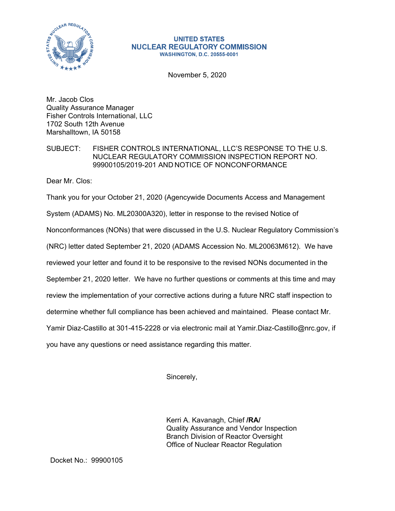

## **UNITED STATES NUCLEAR REGULATORY COMMISSION WASHINGTON, D.C. 20555-0001**

November 5, 2020

Mr. Jacob Clos Quality Assurance Manager Fisher Controls International, LLC 1702 South 12th Avenue Marshalltown, IA 50158

SUBJECT: FISHER CONTROLS INTERNATIONAL, LLC'S RESPONSE TO THE U.S. NUCLEAR REGULATORY COMMISSION INSPECTION REPORT NO. 99900105/2019-201 AND NOTICE OF NONCONFORMANCE

Dear Mr. Clos:

Thank you for your October 21, 2020 (Agencywide Documents Access and Management

System (ADAMS) No. ML20300A320), letter in response to the revised Notice of

Nonconformances (NONs) that were discussed in the U.S. Nuclear Regulatory Commission's

(NRC) letter dated September 21, 2020 (ADAMS Accession No. ML20063M612). We have

reviewed your letter and found it to be responsive to the revised NONs documented in the

September 21, 2020 letter. We have no further questions or comments at this time and may

review the implementation of your corrective actions during a future NRC staff inspection to

determine whether full compliance has been achieved and maintained. Please contact Mr.

Yamir Diaz-Castillo at 301-415-2228 or via electronic mail at Yamir.Diaz-Castillo@nrc.gov, if

you have any questions or need assistance regarding this matter.

Sincerely,

Kerri A. Kavanagh, Chief **/RA/**  Quality Assurance and Vendor Inspection Branch Division of Reactor Oversight Office of Nuclear Reactor Regulation

Docket No.: 99900105